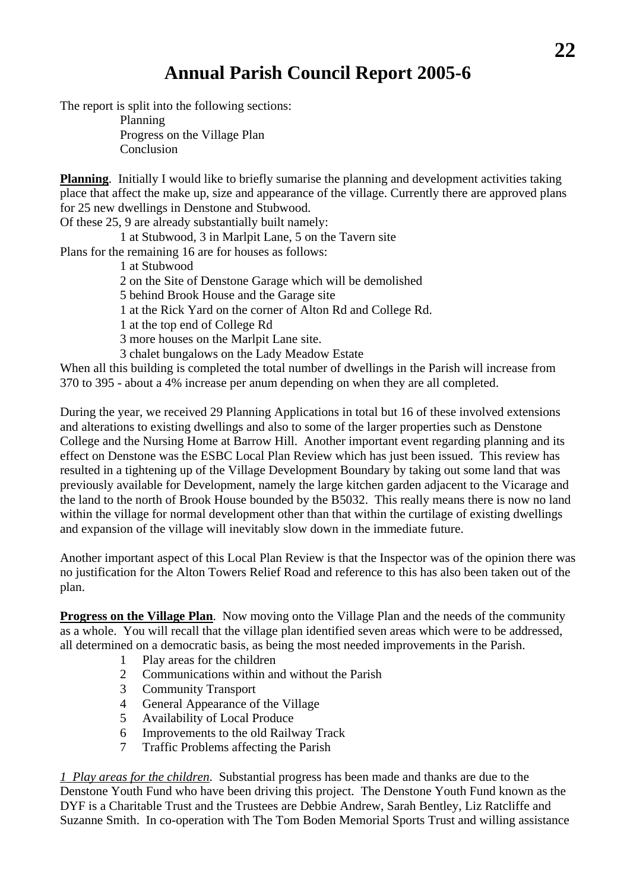## **Annual Parish Council Report 2005-6**

The report is split into the following sections:

 Planning Progress on the Village Plan Conclusion

**Planning**. Initially I would like to briefly sumarise the planning and development activities taking place that affect the make up, size and appearance of the village. Currently there are approved plans for 25 new dwellings in Denstone and Stubwood.

Of these 25, 9 are already substantially built namely:

1 at Stubwood, 3 in Marlpit Lane, 5 on the Tavern site

Plans for the remaining 16 are for houses as follows:

1 at Stubwood

2 on the Site of Denstone Garage which will be demolished

5 behind Brook House and the Garage site

1 at the Rick Yard on the corner of Alton Rd and College Rd.

1 at the top end of College Rd

3 more houses on the Marlpit Lane site.

3 chalet bungalows on the Lady Meadow Estate

When all this building is completed the total number of dwellings in the Parish will increase from 370 to 395 - about a 4% increase per anum depending on when they are all completed.

During the year, we received 29 Planning Applications in total but 16 of these involved extensions and alterations to existing dwellings and also to some of the larger properties such as Denstone College and the Nursing Home at Barrow Hill. Another important event regarding planning and its effect on Denstone was the ESBC Local Plan Review which has just been issued. This review has resulted in a tightening up of the Village Development Boundary by taking out some land that was previously available for Development, namely the large kitchen garden adjacent to the Vicarage and the land to the north of Brook House bounded by the B5032. This really means there is now no land within the village for normal development other than that within the curtilage of existing dwellings and expansion of the village will inevitably slow down in the immediate future.

Another important aspect of this Local Plan Review is that the Inspector was of the opinion there was no justification for the Alton Towers Relief Road and reference to this has also been taken out of the plan.

**Progress on the Village Plan**. Now moving onto the Village Plan and the needs of the community as a whole. You will recall that the village plan identified seven areas which were to be addressed, all determined on a democratic basis, as being the most needed improvements in the Parish.

- 1 Play areas for the children
- 2 Communications within and without the Parish
- 3 Community Transport
- 4 General Appearance of the Village
- 5 Availability of Local Produce
- 6 Improvements to the old Railway Track
- 7 Traffic Problems affecting the Parish

*1 Play areas for the children*. Substantial progress has been made and thanks are due to the Denstone Youth Fund who have been driving this project. The Denstone Youth Fund known as the DYF is a Charitable Trust and the Trustees are Debbie Andrew, Sarah Bentley, Liz Ratcliffe and Suzanne Smith. In co-operation with The Tom Boden Memorial Sports Trust and willing assistance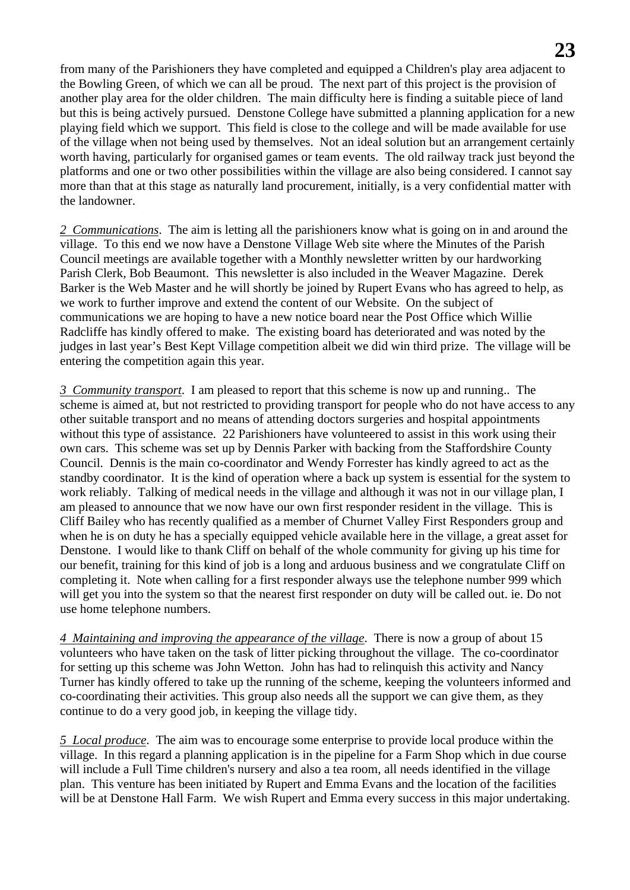from many of the Parishioners they have completed and equipped a Children's play area adjacent to the Bowling Green, of which we can all be proud. The next part of this project is the provision of another play area for the older children. The main difficulty here is finding a suitable piece of land but this is being actively pursued. Denstone College have submitted a planning application for a new playing field which we support. This field is close to the college and will be made available for use of the village when not being used by themselves. Not an ideal solution but an arrangement certainly worth having, particularly for organised games or team events. The old railway track just beyond the platforms and one or two other possibilities within the village are also being considered. I cannot say more than that at this stage as naturally land procurement, initially, is a very confidential matter with the landowner.

*2 Communications*. The aim is letting all the parishioners know what is going on in and around the village. To this end we now have a Denstone Village Web site where the Minutes of the Parish Council meetings are available together with a Monthly newsletter written by our hardworking Parish Clerk, Bob Beaumont. This newsletter is also included in the Weaver Magazine. Derek Barker is the Web Master and he will shortly be joined by Rupert Evans who has agreed to help, as we work to further improve and extend the content of our Website. On the subject of communications we are hoping to have a new notice board near the Post Office which Willie Radcliffe has kindly offered to make. The existing board has deteriorated and was noted by the judges in last year's Best Kept Village competition albeit we did win third prize. The village will be entering the competition again this year.

*3 Community transport*. I am pleased to report that this scheme is now up and running.. The scheme is aimed at, but not restricted to providing transport for people who do not have access to any other suitable transport and no means of attending doctors surgeries and hospital appointments without this type of assistance. 22 Parishioners have volunteered to assist in this work using their own cars. This scheme was set up by Dennis Parker with backing from the Staffordshire County Council. Dennis is the main co-coordinator and Wendy Forrester has kindly agreed to act as the standby coordinator. It is the kind of operation where a back up system is essential for the system to work reliably. Talking of medical needs in the village and although it was not in our village plan, I am pleased to announce that we now have our own first responder resident in the village. This is Cliff Bailey who has recently qualified as a member of Churnet Valley First Responders group and when he is on duty he has a specially equipped vehicle available here in the village, a great asset for Denstone. I would like to thank Cliff on behalf of the whole community for giving up his time for our benefit, training for this kind of job is a long and arduous business and we congratulate Cliff on completing it. Note when calling for a first responder always use the telephone number 999 which will get you into the system so that the nearest first responder on duty will be called out. ie. Do not use home telephone numbers.

*4 Maintaining and improving the appearance of the village*. There is now a group of about 15 volunteers who have taken on the task of litter picking throughout the village. The co-coordinator for setting up this scheme was John Wetton. John has had to relinquish this activity and Nancy Turner has kindly offered to take up the running of the scheme, keeping the volunteers informed and co-coordinating their activities. This group also needs all the support we can give them, as they continue to do a very good job, in keeping the village tidy.

*5 Local produce*. The aim was to encourage some enterprise to provide local produce within the village. In this regard a planning application is in the pipeline for a Farm Shop which in due course will include a Full Time children's nursery and also a tea room, all needs identified in the village plan. This venture has been initiated by Rupert and Emma Evans and the location of the facilities will be at Denstone Hall Farm. We wish Rupert and Emma every success in this major undertaking.